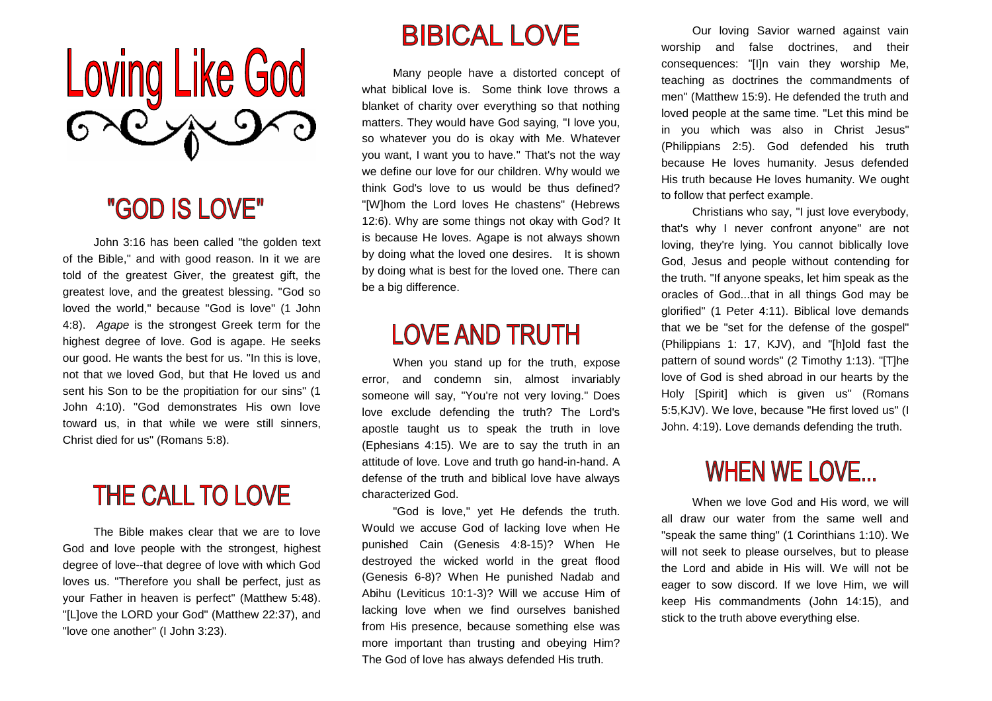

#### "GOD IS LOVE"

 John 3:16 has been called "the golden text of the Bible," and with good reason. In it we are told of the greatest Giver, the greatest gift, the greatest love, and the greatest blessing. "God so loved the world," because "God is love" (1 John 4:8). Agape is the strongest Greek term for the highest degree of love. God is agape. He seeks our good. He wants the best for us. "In this is love, not that we loved God, but that He loved us and sent his Son to be the propitiation for our sins" (1 John 4:10). "God demonstrates His own love toward us, in that while we were still sinners, Christ died for us" (Romans 5:8).

## **THE CALL TO LOVE**

 The Bible makes clear that we are to love God and love people with the strongest, highest degree of love--that degree of love with which God loves us. "Therefore you shall be perfect, just as your Father in heaven is perfect" (Matthew 5:48). "[L]ove the LORD your God" (Matthew 22:37), and "love one another" (I John 3:23).

#### **BIBICAL LOVE**

 Many people have a distorted concept of what biblical love is. Some think love throws a blanket of charity over everything so that nothing matters. They would have God saying, "I love you, so whatever you do is okay with Me. Whatever you want, I want you to have." That's not the way we define our love for our children. Why would we think God's love to us would be thus defined? "[W]hom the Lord loves He chastens" (Hebrews 12:6). Why are some things not okay with God? It is because He loves. Agape is not always shown by doing what the loved one desires. It is shown by doing what is best for the loved one. There can be a big difference.

### **LOVE AND TRUTH**

 When you stand up for the truth, expose error, and condemn sin, almost invariably someone will say, "You're not very loving." Does love exclude defending the truth? The Lord's apostle taught us to speak the truth in love (Ephesians 4:15). We are to say the truth in an attitude of love. Love and truth go hand-in-hand. A defense of the truth and biblical love have always characterized God.

 "God is love," yet He defends the truth. Would we accuse God of lacking love when He punished Cain (Genesis 4:8-15)? When He destroyed the wicked world in the great flood (Genesis 6-8)? When He punished Nadab and Abihu (Leviticus 10:1-3)? Will we accuse Him of lacking love when we find ourselves banished from His presence, because something else was more important than trusting and obeying Him? The God of love has always defended His truth.

 Our loving Savior warned against vain worship and false doctrines, and their consequences: "[I]n vain they worship Me, teaching as doctrines the commandments of men" (Matthew 15:9). He defended the truth and loved people at the same time. "Let this mind be in you which was also in Christ Jesus" (Philippians 2:5). God defended his truth because He loves humanity. Jesus defended His truth because He loves humanity. We ought to follow that perfect example.

 Christians who say, "I just love everybody, that's why I never confront anyone" are not loving, they're lying. You cannot biblically love God, Jesus and people without contending for the truth. "If anyone speaks, let him speak as the oracles of God...that in all things God may be glorified" (1 Peter 4:11). Biblical love demands that we be "set for the defense of the gospel" (Philippians 1: 17, KJV), and "[h]old fast the pattern of sound words" (2 Timothy 1:13). "[T]he love of God is shed abroad in our hearts by the Holy [Spirit] which is given us" (Romans 5:5,KJV). We love, because "He first loved us" (I John. 4:19). Love demands defending the truth.

### **WHEN WE LOVE...**

 When we love God and His word, we will all draw our water from the same well and "speak the same thing" (1 Corinthians 1:10). We will not seek to please ourselves, but to please the Lord and abide in His will. We will not be eager to sow discord. If we love Him, we will keep His commandments (John 14:15), and stick to the truth above everything else.